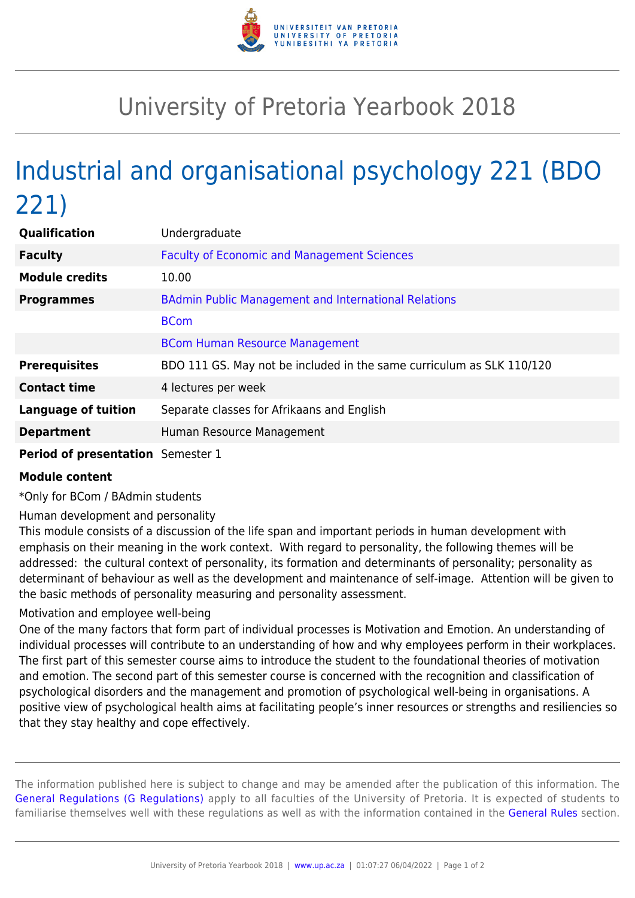

## University of Pretoria Yearbook 2018

## Industrial and organisational psychology 221 (BDO 221)

| Qualification                            | Undergraduate                                                         |
|------------------------------------------|-----------------------------------------------------------------------|
| <b>Faculty</b>                           | <b>Faculty of Economic and Management Sciences</b>                    |
| <b>Module credits</b>                    | 10.00                                                                 |
| <b>Programmes</b>                        | <b>BAdmin Public Management and International Relations</b>           |
|                                          | <b>BCom</b>                                                           |
|                                          | <b>BCom Human Resource Management</b>                                 |
| <b>Prerequisites</b>                     | BDO 111 GS. May not be included in the same curriculum as SLK 110/120 |
| <b>Contact time</b>                      | 4 lectures per week                                                   |
| <b>Language of tuition</b>               | Separate classes for Afrikaans and English                            |
| <b>Department</b>                        | Human Resource Management                                             |
| <b>Period of presentation</b> Semester 1 |                                                                       |

## **Module content**

\*Only for BCom / BAdmin students

Human development and personality

This module consists of a discussion of the life span and important periods in human development with emphasis on their meaning in the work context. With regard to personality, the following themes will be addressed: the cultural context of personality, its formation and determinants of personality; personality as determinant of behaviour as well as the development and maintenance of self-image. Attention will be given to the basic methods of personality measuring and personality assessment.

## Motivation and employee well-being

One of the many factors that form part of individual processes is Motivation and Emotion. An understanding of individual processes will contribute to an understanding of how and why employees perform in their workplaces. The first part of this semester course aims to introduce the student to the foundational theories of motivation and emotion. The second part of this semester course is concerned with the recognition and classification of psychological disorders and the management and promotion of psychological well-being in organisations. A positive view of psychological health aims at facilitating people's inner resources or strengths and resiliencies so that they stay healthy and cope effectively.

The information published here is subject to change and may be amended after the publication of this information. The [General Regulations \(G Regulations\)](https://www.up.ac.za/faculty-of-education/yearbooks/2018/rules/view/REG) apply to all faculties of the University of Pretoria. It is expected of students to familiarise themselves well with these regulations as well as with the information contained in the [General Rules](https://www.up.ac.za/faculty-of-education/yearbooks/2018/rules/view/RUL) section.